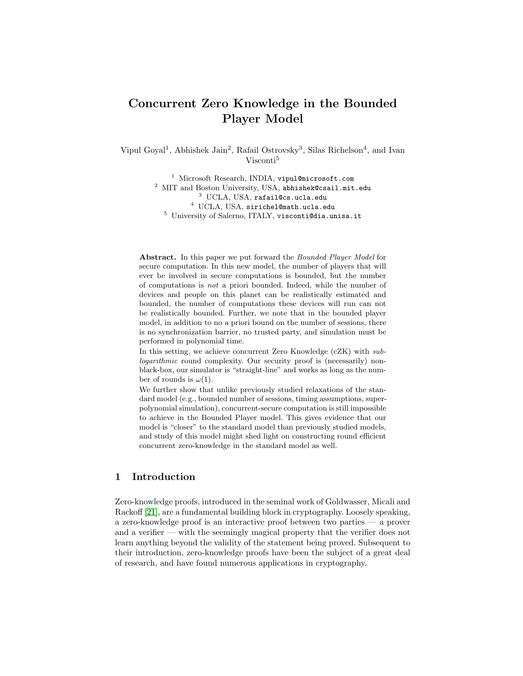# Concurrent Zero Knowledge in the Bounded Player Model

Vipul Goyal<sup>1</sup>, Abhishek Jain<sup>2</sup>, Rafail Ostrovsky<sup>3</sup>, Silas Richelson<sup>4</sup>, and Ivan Visconti<sup>5</sup>

> <sup>1</sup> Microsoft Research, INDIA, vipul@microsoft.com MIT and Boston University, USA, abhishek@csail.mit.edu UCLA, USA, rafail@cs.ucla.edu UCLA, USA, sirichel@math.ucla.edu University of Salerno, ITALY, visconti@dia.unisa.it

Abstract. In this paper we put forward the Bounded Player Model for secure computation. In this new model, the number of players that will ever be involved in secure computations is bounded, but the number of computations is not a priori bounded. Indeed, while the number of devices and people on this planet can be realistically estimated and bounded, the number of computations these devices will run can not be realistically bounded. Further, we note that in the bounded player model, in addition to no a priori bound on the number of sessions, there is no synchronization barrier, no trusted party, and simulation must be performed in polynomial time.

In this setting, we achieve concurrent Zero Knowledge (cZK) with sublogarithmic round complexity. Our security proof is (necessarily) nonblack-box, our simulator is "straight-line" and works as long as the number of rounds is  $\omega(1)$ .

We further show that unlike previously studied relaxations of the standard model (e.g., bounded number of sessions, timing assumptions, superpolynomial simulation), concurrent-secure computation is still impossible to achieve in the Bounded Player model. This gives evidence that our model is "closer" to the standard model than previously studied models, and study of this model might shed light on constructing round efficient concurrent zero-knowledge in the standard model as well.

# 1 Introduction

Zero-knowledge proofs, introduced in the seminal work of Goldwasser, Micali and Rackoff [\[21\]](#page-19-0), are a fundamental building block in cryptography. Loosely speaking, a zero-knowledge proof is an interactive proof between two parties — a prover and a verifier — with the seemingly magical property that the verifier does not learn anything beyond the validity of the statement being proved. Subsequent to their introduction, zero-knowledge proofs have been the subject of a great deal of research, and have found numerous applications in cryptography.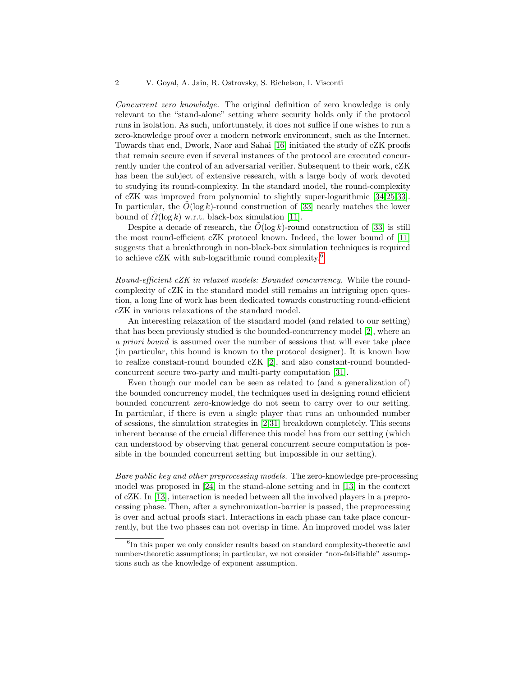Concurrent zero knowledge. The original definition of zero knowledge is only relevant to the "stand-alone" setting where security holds only if the protocol runs in isolation. As such, unfortunately, it does not suffice if one wishes to run a zero-knowledge proof over a modern network environment, such as the Internet. Towards that end, Dwork, Naor and Sahai [\[16\]](#page-18-0) initiated the study of cZK proofs that remain secure even if several instances of the protocol are executed concurrently under the control of an adversarial verifier. Subsequent to their work, cZK has been the subject of extensive research, with a large body of work devoted to studying its round-complexity. In the standard model, the round-complexity of cZK was improved from polynomial to slightly super-logarithmic [\[34,](#page-19-1)[25,](#page-19-2)[33\]](#page-19-3). In particular, the  $\tilde{O}(\log k)$ -round construction of [\[33\]](#page-19-3) nearly matches the lower bound of  $\Omega(\log k)$  w.r.t. black-box simulation [\[11\]](#page-18-1).

Despite a decade of research, the  $O(\log k)$ -round construction of [\[33\]](#page-19-3) is still the most round-efficient cZK protocol known. Indeed, the lower bound of [\[11\]](#page-18-1) suggests that a breakthrough in non-black-box simulation techniques is required to achieve cZK with sub-logarithmic round complexity.[6](#page-1-0)

Round-efficient cZK in relaxed models: Bounded concurrency. While the roundcomplexity of cZK in the standard model still remains an intriguing open question, a long line of work has been dedicated towards constructing round-efficient cZK in various relaxations of the standard model.

An interesting relaxation of the standard model (and related to our setting) that has been previously studied is the bounded-concurrency model [\[2\]](#page-18-2), where an a priori bound is assumed over the number of sessions that will ever take place (in particular, this bound is known to the protocol designer). It is known how to realize constant-round bounded cZK [\[2\]](#page-18-2), and also constant-round boundedconcurrent secure two-party and multi-party computation [\[31\]](#page-19-4).

Even though our model can be seen as related to (and a generalization of) the bounded concurrency model, the techniques used in designing round efficient bounded concurrent zero-knowledge do not seem to carry over to our setting. In particular, if there is even a single player that runs an unbounded number of sessions, the simulation strategies in [\[2,](#page-18-2)[31\]](#page-19-4) breakdown completely. This seems inherent because of the crucial difference this model has from our setting (which can understood by observing that general concurrent secure computation is possible in the bounded concurrent setting but impossible in our setting).

Bare public key and other preprocessing models. The zero-knowledge pre-processing model was proposed in [\[24\]](#page-19-5) in the stand-alone setting and in [\[13\]](#page-18-3) in the context of cZK. In [\[13\]](#page-18-3), interaction is needed between all the involved players in a preprocessing phase. Then, after a synchronization-barrier is passed, the preprocessing is over and actual proofs start. Interactions in each phase can take place concurrently, but the two phases can not overlap in time. An improved model was later

<span id="page-1-0"></span><sup>&</sup>lt;sup>6</sup>In this paper we only consider results based on standard complexity-theoretic and number-theoretic assumptions; in particular, we not consider "non-falsifiable" assumptions such as the knowledge of exponent assumption.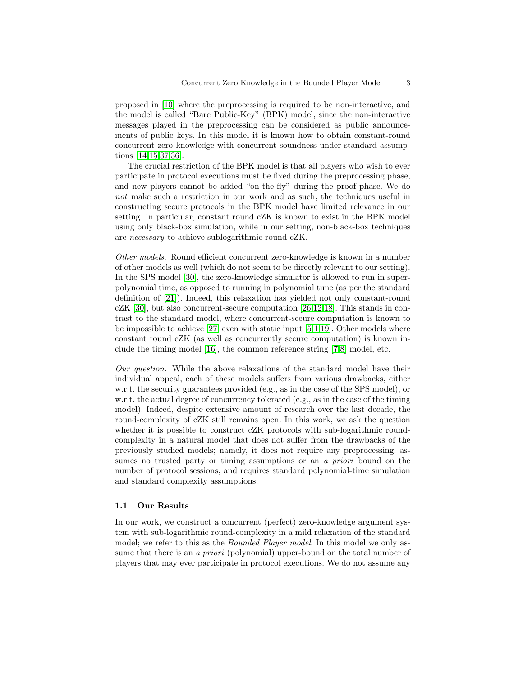proposed in [\[10\]](#page-18-4) where the preprocessing is required to be non-interactive, and the model is called "Bare Public-Key" (BPK) model, since the non-interactive messages played in the preprocessing can be considered as public announcements of public keys. In this model it is known how to obtain constant-round concurrent zero knowledge with concurrent soundness under standard assumptions [\[14,](#page-18-5)[15,](#page-18-6)[37](#page-19-6)[,36\]](#page-19-7).

The crucial restriction of the BPK model is that all players who wish to ever participate in protocol executions must be fixed during the preprocessing phase, and new players cannot be added "on-the-fly" during the proof phase. We do not make such a restriction in our work and as such, the techniques useful in constructing secure protocols in the BPK model have limited relevance in our setting. In particular, constant round cZK is known to exist in the BPK model using only black-box simulation, while in our setting, non-black-box techniques are necessary to achieve sublogarithmic-round cZK.

Other models. Round efficient concurrent zero-knowledge is known in a number of other models as well (which do not seem to be directly relevant to our setting). In the SPS model [\[30\]](#page-19-8), the zero-knowledge simulator is allowed to run in superpolynomial time, as opposed to running in polynomial time (as per the standard definition of [\[21\]](#page-19-0)). Indeed, this relaxation has yielded not only constant-round  $cZK$  [\[30\]](#page-19-8), but also concurrent-secure computation [\[26,](#page-19-9)[12,](#page-18-7)[18\]](#page-19-10). This stands in contrast to the standard model, where concurrent-secure computation is known to be impossible to achieve [\[27\]](#page-19-11) even with static input [\[5,](#page-18-8)[1,](#page-18-9)[19\]](#page-19-12). Other models where constant round cZK (as well as concurrently secure computation) is known include the timing model [\[16\]](#page-18-0), the common reference string [\[7,](#page-18-10)[8\]](#page-18-11) model, etc.

Our question. While the above relaxations of the standard model have their individual appeal, each of these models suffers from various drawbacks, either w.r.t. the security guarantees provided (e.g., as in the case of the SPS model), or w.r.t. the actual degree of concurrency tolerated (e.g., as in the case of the timing model). Indeed, despite extensive amount of research over the last decade, the round-complexity of cZK still remains open. In this work, we ask the question whether it is possible to construct cZK protocols with sub-logarithmic roundcomplexity in a natural model that does not suffer from the drawbacks of the previously studied models; namely, it does not require any preprocessing, assumes no trusted party or timing assumptions or an a *priori* bound on the number of protocol sessions, and requires standard polynomial-time simulation and standard complexity assumptions.

#### 1.1 Our Results

In our work, we construct a concurrent (perfect) zero-knowledge argument system with sub-logarithmic round-complexity in a mild relaxation of the standard model; we refer to this as the *Bounded Player model*. In this model we only assume that there is an a priori (polynomial) upper-bound on the total number of players that may ever participate in protocol executions. We do not assume any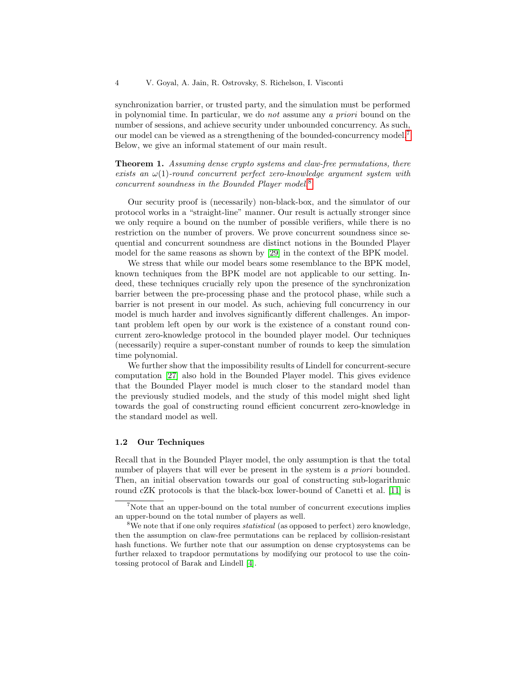synchronization barrier, or trusted party, and the simulation must be performed in polynomial time. In particular, we do not assume any a priori bound on the number of sessions, and achieve security under unbounded concurrency. As such, our model can be viewed as a strengthening of the bounded-concurrency model.<sup>[7](#page-3-0)</sup> Below, we give an informal statement of our main result.

Theorem 1. Assuming dense crypto systems and claw-free permutations, there exists an  $\omega(1)$ -round concurrent perfect zero-knowledge argument system with concurrent soundness in the Bounded Player model.[8](#page-3-1)

Our security proof is (necessarily) non-black-box, and the simulator of our protocol works in a "straight-line" manner. Our result is actually stronger since we only require a bound on the number of possible verifiers, while there is no restriction on the number of provers. We prove concurrent soundness since sequential and concurrent soundness are distinct notions in the Bounded Player model for the same reasons as shown by [\[29\]](#page-19-13) in the context of the BPK model.

We stress that while our model bears some resemblance to the BPK model, known techniques from the BPK model are not applicable to our setting. Indeed, these techniques crucially rely upon the presence of the synchronization barrier between the pre-processing phase and the protocol phase, while such a barrier is not present in our model. As such, achieving full concurrency in our model is much harder and involves significantly different challenges. An important problem left open by our work is the existence of a constant round concurrent zero-knowledge protocol in the bounded player model. Our techniques (necessarily) require a super-constant number of rounds to keep the simulation time polynomial.

We further show that the impossibility results of Lindell for concurrent-secure computation [\[27\]](#page-19-11) also hold in the Bounded Player model. This gives evidence that the Bounded Player model is much closer to the standard model than the previously studied models, and the study of this model might shed light towards the goal of constructing round efficient concurrent zero-knowledge in the standard model as well.

#### 1.2 Our Techniques

Recall that in the Bounded Player model, the only assumption is that the total number of players that will ever be present in the system is a priori bounded. Then, an initial observation towards our goal of constructing sub-logarithmic round cZK protocols is that the black-box lower-bound of Canetti et al. [\[11\]](#page-18-1) is

<span id="page-3-0"></span><sup>7</sup>Note that an upper-bound on the total number of concurrent executions implies an upper-bound on the total number of players as well.

<span id="page-3-1"></span> $8$ We note that if one only requires *statistical* (as opposed to perfect) zero knowledge, then the assumption on claw-free permutations can be replaced by collision-resistant hash functions. We further note that our assumption on dense cryptosystems can be further relaxed to trapdoor permutations by modifying our protocol to use the cointossing protocol of Barak and Lindell [\[4\]](#page-18-12).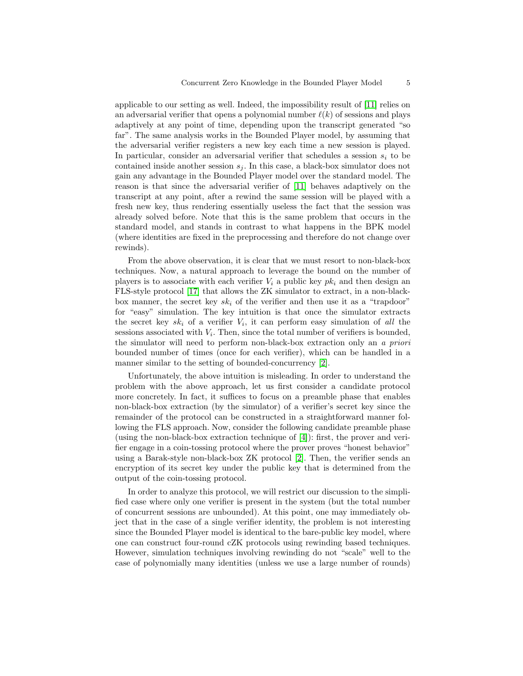applicable to our setting as well. Indeed, the impossibility result of [\[11\]](#page-18-1) relies on an adversarial verifier that opens a polynomial number  $\ell(k)$  of sessions and plays adaptively at any point of time, depending upon the transcript generated "so far". The same analysis works in the Bounded Player model, by assuming that the adversarial verifier registers a new key each time a new session is played. In particular, consider an adversarial verifier that schedules a session  $s_i$  to be contained inside another session  $s_i$ . In this case, a black-box simulator does not gain any advantage in the Bounded Player model over the standard model. The reason is that since the adversarial verifier of [\[11\]](#page-18-1) behaves adaptively on the transcript at any point, after a rewind the same session will be played with a fresh new key, thus rendering essentially useless the fact that the session was already solved before. Note that this is the same problem that occurs in the standard model, and stands in contrast to what happens in the BPK model (where identities are fixed in the preprocessing and therefore do not change over rewinds).

From the above observation, it is clear that we must resort to non-black-box techniques. Now, a natural approach to leverage the bound on the number of players is to associate with each verifier  $V_i$  a public key  $pk_i$  and then design an FLS-style protocol [\[17\]](#page-18-13) that allows the ZK simulator to extract, in a non-blackbox manner, the secret key  $sk_i$  of the verifier and then use it as a "trapdoor" for "easy" simulation. The key intuition is that once the simulator extracts the secret key  $sk_i$  of a verifier  $V_i$ , it can perform easy simulation of all the sessions associated with  $V_i$ . Then, since the total number of verifiers is bounded, the simulator will need to perform non-black-box extraction only an a priori bounded number of times (once for each verifier), which can be handled in a manner similar to the setting of bounded-concurrency [\[2\]](#page-18-2).

Unfortunately, the above intuition is misleading. In order to understand the problem with the above approach, let us first consider a candidate protocol more concretely. In fact, it suffices to focus on a preamble phase that enables non-black-box extraction (by the simulator) of a verifier's secret key since the remainder of the protocol can be constructed in a straightforward manner following the FLS approach. Now, consider the following candidate preamble phase (using the non-black-box extraction technique of [\[4\]](#page-18-12)): first, the prover and verifier engage in a coin-tossing protocol where the prover proves "honest behavior" using a Barak-style non-black-box ZK protocol [\[2\]](#page-18-2). Then, the verifier sends an encryption of its secret key under the public key that is determined from the output of the coin-tossing protocol.

In order to analyze this protocol, we will restrict our discussion to the simplified case where only one verifier is present in the system (but the total number of concurrent sessions are unbounded). At this point, one may immediately object that in the case of a single verifier identity, the problem is not interesting since the Bounded Player model is identical to the bare-public key model, where one can construct four-round cZK protocols using rewinding based techniques. However, simulation techniques involving rewinding do not "scale" well to the case of polynomially many identities (unless we use a large number of rounds)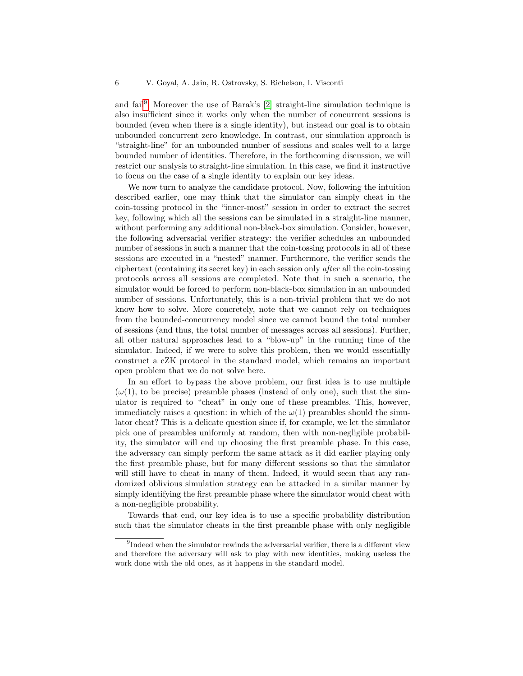and fail[9](#page-5-0) . Moreover the use of Barak's [\[2\]](#page-18-2) straight-line simulation technique is also insufficient since it works only when the number of concurrent sessions is bounded (even when there is a single identity), but instead our goal is to obtain unbounded concurrent zero knowledge. In contrast, our simulation approach is "straight-line" for an unbounded number of sessions and scales well to a large bounded number of identities. Therefore, in the forthcoming discussion, we will restrict our analysis to straight-line simulation. In this case, we find it instructive to focus on the case of a single identity to explain our key ideas.

We now turn to analyze the candidate protocol. Now, following the intuition described earlier, one may think that the simulator can simply cheat in the coin-tossing protocol in the "inner-most" session in order to extract the secret key, following which all the sessions can be simulated in a straight-line manner, without performing any additional non-black-box simulation. Consider, however, the following adversarial verifier strategy: the verifier schedules an unbounded number of sessions in such a manner that the coin-tossing protocols in all of these sessions are executed in a "nested" manner. Furthermore, the verifier sends the ciphertext (containing its secret key) in each session only after all the coin-tossing protocols across all sessions are completed. Note that in such a scenario, the simulator would be forced to perform non-black-box simulation in an unbounded number of sessions. Unfortunately, this is a non-trivial problem that we do not know how to solve. More concretely, note that we cannot rely on techniques from the bounded-concurrency model since we cannot bound the total number of sessions (and thus, the total number of messages across all sessions). Further, all other natural approaches lead to a "blow-up" in the running time of the simulator. Indeed, if we were to solve this problem, then we would essentially construct a cZK protocol in the standard model, which remains an important open problem that we do not solve here.

In an effort to bypass the above problem, our first idea is to use multiple  $(\omega(1),$  to be precise) preamble phases (instead of only one), such that the simulator is required to "cheat" in only one of these preambles. This, however, immediately raises a question: in which of the  $\omega(1)$  preambles should the simulator cheat? This is a delicate question since if, for example, we let the simulator pick one of preambles uniformly at random, then with non-negligible probability, the simulator will end up choosing the first preamble phase. In this case, the adversary can simply perform the same attack as it did earlier playing only the first preamble phase, but for many different sessions so that the simulator will still have to cheat in many of them. Indeed, it would seem that any randomized oblivious simulation strategy can be attacked in a similar manner by simply identifying the first preamble phase where the simulator would cheat with a non-negligible probability.

Towards that end, our key idea is to use a specific probability distribution such that the simulator cheats in the first preamble phase with only negligible

<span id="page-5-0"></span><sup>&</sup>lt;sup>9</sup>Indeed when the simulator rewinds the adversarial verifier, there is a different view and therefore the adversary will ask to play with new identities, making useless the work done with the old ones, as it happens in the standard model.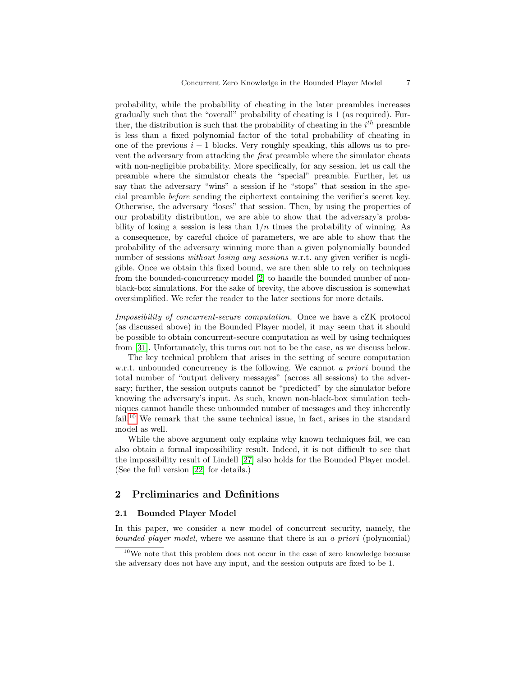probability, while the probability of cheating in the later preambles increases gradually such that the "overall" probability of cheating is 1 (as required). Further, the distribution is such that the probability of cheating in the  $i^{th}$  preamble is less than a fixed polynomial factor of the total probability of cheating in one of the previous  $i - 1$  blocks. Very roughly speaking, this allows us to prevent the adversary from attacking the *first* preamble where the simulator cheats with non-negligible probability. More specifically, for any session, let us call the preamble where the simulator cheats the "special" preamble. Further, let us say that the adversary "wins" a session if he "stops" that session in the special preamble before sending the ciphertext containing the verifier's secret key. Otherwise, the adversary "loses" that session. Then, by using the properties of our probability distribution, we are able to show that the adversary's probability of losing a session is less than  $1/n$  times the probability of winning. As a consequence, by careful choice of parameters, we are able to show that the probability of the adversary winning more than a given polynomially bounded number of sessions without losing any sessions w.r.t. any given verifier is negligible. Once we obtain this fixed bound, we are then able to rely on techniques from the bounded-concurrency model [\[2\]](#page-18-2) to handle the bounded number of nonblack-box simulations. For the sake of brevity, the above discussion is somewhat oversimplified. We refer the reader to the later sections for more details.

Impossibility of concurrent-secure computation. Once we have a cZK protocol (as discussed above) in the Bounded Player model, it may seem that it should be possible to obtain concurrent-secure computation as well by using techniques from [\[31\]](#page-19-4). Unfortunately, this turns out not to be the case, as we discuss below.

The key technical problem that arises in the setting of secure computation w.r.t. unbounded concurrency is the following. We cannot a priori bound the total number of "output delivery messages" (across all sessions) to the adversary; further, the session outputs cannot be "predicted" by the simulator before knowing the adversary's input. As such, known non-black-box simulation techniques cannot handle these unbounded number of messages and they inherently fail.[10](#page-6-0) We remark that the same technical issue, in fact, arises in the standard model as well.

While the above argument only explains why known techniques fail, we can also obtain a formal impossibility result. Indeed, it is not difficult to see that the impossibility result of Lindell [\[27\]](#page-19-11) also holds for the Bounded Player model. (See the full version [\[22\]](#page-19-14) for details.)

## 2 Preliminaries and Definitions

#### 2.1 Bounded Player Model

In this paper, we consider a new model of concurrent security, namely, the bounded player model, where we assume that there is an a priori (polynomial)

<span id="page-6-0"></span> $10$ We note that this problem does not occur in the case of zero knowledge because the adversary does not have any input, and the session outputs are fixed to be 1.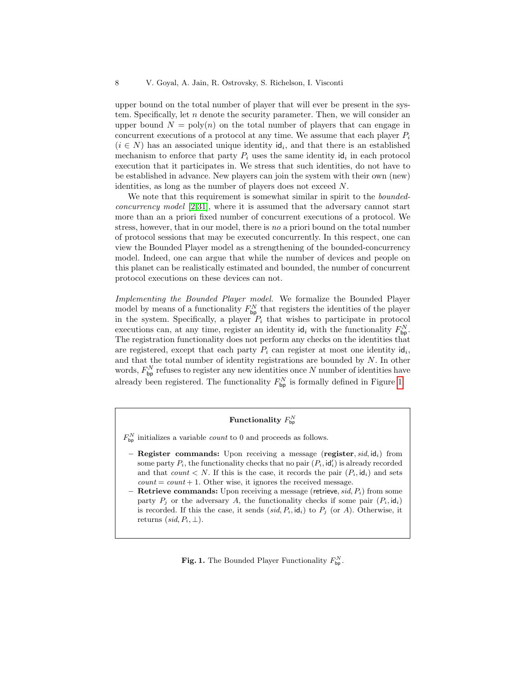upper bound on the total number of player that will ever be present in the system. Specifically, let  $n$  denote the security parameter. Then, we will consider an upper bound  $N = \text{poly}(n)$  on the total number of players that can engage in concurrent executions of a protocol at any time. We assume that each player  $P_i$  $(i \in N)$  has an associated unique identity  $id_i$ , and that there is an established mechanism to enforce that party  $P_i$  uses the same identity  $\mathsf{id}_i$  in each protocol execution that it participates in. We stress that such identities, do not have to be established in advance. New players can join the system with their own (new) identities, as long as the number of players does not exceed N.

We note that this requirement is somewhat similar in spirit to the *bounded*concurrency model [\[2,](#page-18-2)[31\]](#page-19-4), where it is assumed that the adversary cannot start more than an a priori fixed number of concurrent executions of a protocol. We stress, however, that in our model, there is no a priori bound on the total number of protocol sessions that may be executed concurrently. In this respect, one can view the Bounded Player model as a strengthening of the bounded-concurrency model. Indeed, one can argue that while the number of devices and people on this planet can be realistically estimated and bounded, the number of concurrent protocol executions on these devices can not.

Implementing the Bounded Player model. We formalize the Bounded Player model by means of a functionality  $F_{\mathsf{bp}}^N$  that registers the identities of the player in the system. Specifically, a player  $P_i$  that wishes to participate in protocol executions can, at any time, register an identity  $\mathsf{id}_i$  with the functionality  $F_{\mathsf{bp}}^N$ . The registration functionality does not perform any checks on the identities that are registered, except that each party  $P_i$  can register at most one identity  $\mathsf{id}_i$ , and that the total number of identity registrations are bounded by  $N$ . In other words,  $F_{\mathsf{bp}}^N$  refuses to register any new identities once N number of identities have already been registered. The functionality  $F_{\mathsf{bp}}^N$  is formally defined in Figure [1.](#page-7-0)

# $\rm Functionality\,\, \it{F}_{bp}^N$

 $F_{\mathsf{bp}}^N$  initializes a variable *count* to 0 and proceeds as follows.

- Register commands: Upon receiving a message (register,  $sid$ , id<sub>i</sub>) from some party  $P_i$ , the functionality checks that no pair  $(P_i, id'_i)$  is already recorded and that count  $\langle N$ . If this is the case, it records the pair  $(P_i, id_i)$  and sets  $count = count + 1$ . Other wise, it ignores the received message.
- **Retrieve commands:** Upon receiving a message (retrieve, sid,  $P_i$ ) from some party  $P_i$  or the adversary A, the functionality checks if some pair  $(P_i, id_i)$ is recorded. If this the case, it sends  $(sid, P_i, id_i)$  to  $P_j$  (or A). Otherwise, it returns  $(sid, P_i, \perp)$ .

<span id="page-7-0"></span>**Fig. 1.** The Bounded Player Functionality  $F_{\mathsf{bp}}^N$ .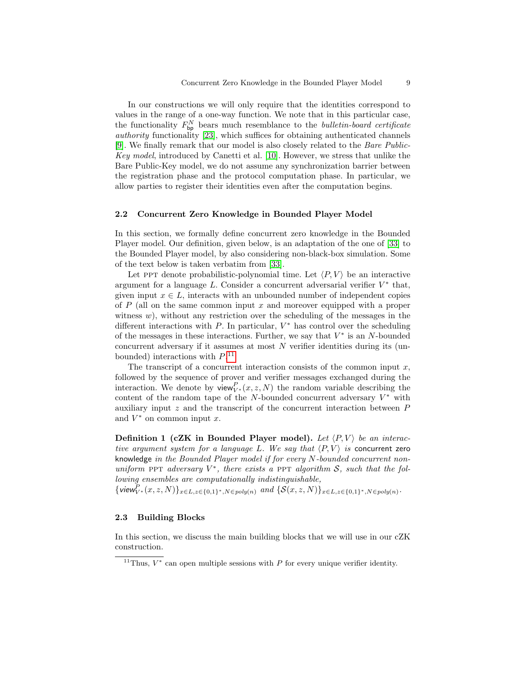In our constructions we will only require that the identities correspond to values in the range of a one-way function. We note that in this particular case, the functionality  $F_{\mathsf{bp}}^N$  bears much resemblance to the *bulletin-board certificate* authority functionality [\[23\]](#page-19-15), which suffices for obtaining authenticated channels [\[9\]](#page-18-14). We finally remark that our model is also closely related to the Bare Public-Key model, introduced by Canetti et al. [\[10\]](#page-18-4). However, we stress that unlike the Bare Public-Key model, we do not assume any synchronization barrier between the registration phase and the protocol computation phase. In particular, we allow parties to register their identities even after the computation begins.

#### 2.2 Concurrent Zero Knowledge in Bounded Player Model

In this section, we formally define concurrent zero knowledge in the Bounded Player model. Our definition, given below, is an adaptation of the one of [\[33\]](#page-19-3) to the Bounded Player model, by also considering non-black-box simulation. Some of the text below is taken verbatim from [\[33\]](#page-19-3).

Let PPT denote probabilistic-polynomial time. Let  $\langle P, V \rangle$  be an interactive argument for a language  $L$ . Consider a concurrent adversarial verifier  $V^*$  that, given input  $x \in L$ , interacts with an unbounded number of independent copies of  $P$  (all on the same common input x and moreover equipped with a proper witness  $w$ ), without any restriction over the scheduling of the messages in the different interactions with  $P$ . In particular,  $V^*$  has control over the scheduling of the messages in these interactions. Further, we say that  $V^*$  is an N-bounded concurrent adversary if it assumes at most  $N$  verifier identities during its (unbounded) interactions with P. [11](#page-8-0)

The transcript of a concurrent interaction consists of the common input  $x$ , followed by the sequence of prover and verifier messages exchanged during the interaction. We denote by  $view_{V^*}^P(x, z, N)$  the random variable describing the content of the random tape of the  $N$ -bounded concurrent adversary  $V^*$  with auxiliary input  $z$  and the transcript of the concurrent interaction between  $P$ and  $V^*$  on common input x.

**Definition 1 (cZK in Bounded Player model).** Let  $\langle P, V \rangle$  be an interactive argument system for a language L. We say that  $\langle P, V \rangle$  is concurrent zero knowledge in the Bounded Player model if for every N-bounded concurrent nonuniform PPT adversary  $V^*$ , there exists a PPT algorithm S, such that the following ensembles are computationally indistinguishable,

 ${ \{view^P_{V^*}(x, z, N)\}_{x \in L, z \in \{0,1\}^*, N \in poly(n)} \text{ and } { \{S(x, z, N)\}_{x \in L, z \in \{0,1\}^*, N \in poly(n)} \}.$ 

#### 2.3 Building Blocks

In this section, we discuss the main building blocks that we will use in our cZK construction.

<span id="page-8-0"></span><sup>&</sup>lt;sup>11</sup>Thus,  $V^*$  can open multiple sessions with P for every unique verifier identity.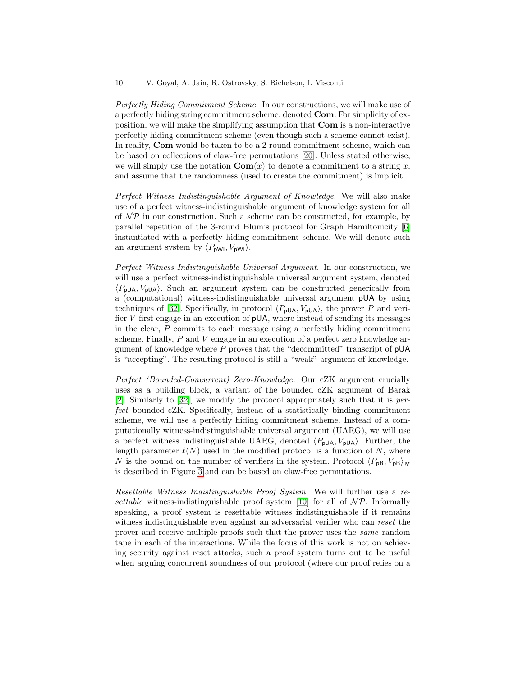#### 10 V. Goyal, A. Jain, R. Ostrovsky, S. Richelson, I. Visconti

Perfectly Hiding Commitment Scheme. In our constructions, we will make use of a perfectly hiding string commitment scheme, denoted Com. For simplicity of exposition, we will make the simplifying assumption that Com is a non-interactive perfectly hiding commitment scheme (even though such a scheme cannot exist). In reality, Com would be taken to be a 2-round commitment scheme, which can be based on collections of claw-free permutations [\[20\]](#page-19-16). Unless stated otherwise, we will simply use the notation  $\text{Com}(x)$  to denote a commitment to a string x, and assume that the randomness (used to create the commitment) is implicit.

Perfect Witness Indistinguishable Argument of Knowledge. We will also make use of a perfect witness-indistinguishable argument of knowledge system for all of  $\mathcal{NP}$  in our construction. Such a scheme can be constructed, for example, by parallel repetition of the 3-round Blum's protocol for Graph Hamiltonicity [\[6\]](#page-18-15) instantiated with a perfectly hiding commitment scheme. We will denote such an argument system by  $\langle P_{\text{pWI}}, V_{\text{pWI}} \rangle$ .

Perfect Witness Indistinguishable Universal Argument. In our construction, we will use a perfect witness-indistinguishable universal argument system, denoted  $\langle P_{\text{pUA}}, V_{\text{pUA}} \rangle$ . Such an argument system can be constructed generically from a (computational) witness-indistinguishable universal argument pUA by using techniques of [\[32\]](#page-19-17). Specifically, in protocol  $\langle P_{\text{pUA}}, V_{\text{pUA}} \rangle$ , the prover P and verifier  $V$  first engage in an execution of  $pUA$ , where instead of sending its messages in the clear, P commits to each message using a perfectly hiding commitment scheme. Finally,  $P$  and  $V$  engage in an execution of a perfect zero knowledge argument of knowledge where  $P$  proves that the "decommitted" transcript of  $pUA$ is "accepting". The resulting protocol is still a "weak" argument of knowledge.

Perfect (Bounded-Concurrent) Zero-Knowledge. Our cZK argument crucially uses as a building block, a variant of the bounded cZK argument of Barak [\[2\]](#page-18-2). Similarly to [\[32\]](#page-19-17), we modify the protocol appropriately such that it is perfect bounded cZK. Specifically, instead of a statistically binding commitment scheme, we will use a perfectly hiding commitment scheme. Instead of a computationally witness-indistinguishable universal argument (UARG), we will use a perfect witness indistinguishable UARG, denoted  $\langle P_{\text{pUA}}, V_{\text{pUA}} \rangle$ . Further, the length parameter  $\ell(N)$  used in the modified protocol is a function of N, where N is the bound on the number of verifiers in the system. Protocol  $\langle P_{\text{pB}}, V_{\text{pB}} \rangle_N$ is described in Figure [3](#page-11-0) and can be based on claw-free permutations.

Resettable Witness Indistinguishable Proof System. We will further use a re-settable witness-indistinguishable proof system [\[10\]](#page-18-4) for all of  $\mathcal{NP}$ . Informally speaking, a proof system is resettable witness indistinguishable if it remains witness indistinguishable even against an adversarial verifier who can reset the prover and receive multiple proofs such that the prover uses the same random tape in each of the interactions. While the focus of this work is not on achieving security against reset attacks, such a proof system turns out to be useful when arguing concurrent soundness of our protocol (where our proof relies on a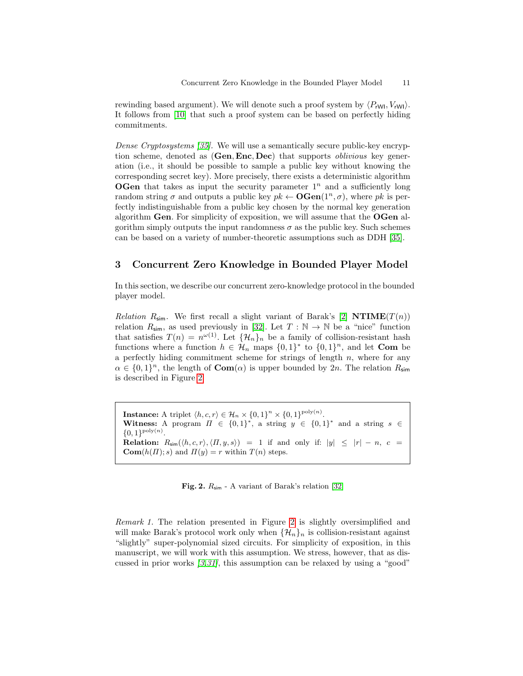rewinding based argument). We will denote such a proof system by  $\langle P_{\text{rW1}}, V_{\text{rW1}} \rangle$ . It follows from [\[10\]](#page-18-4) that such a proof system can be based on perfectly hiding commitments.

Dense Cryptosystems [\[35\]](#page-19-18). We will use a semantically secure public-key encryption scheme, denoted as (Gen, Enc, Dec) that supports *oblivious* key generation (i.e., it should be possible to sample a public key without knowing the corresponding secret key). More precisely, there exists a deterministic algorithm **OGen** that takes as input the security parameter  $1^n$  and a sufficiently long random string  $\sigma$  and outputs a public key  $pk \leftarrow \mathbf{OGen}(1^n, \sigma)$ , where pk is perfectly indistinguishable from a public key chosen by the normal key generation algorithm Gen. For simplicity of exposition, we will assume that the OGen algorithm simply outputs the input randomness  $\sigma$  as the public key. Such schemes can be based on a variety of number-theoretic assumptions such as DDH [\[35\]](#page-19-18).

## <span id="page-10-1"></span>3 Concurrent Zero Knowledge in Bounded Player Model

In this section, we describe our concurrent zero-knowledge protocol in the bounded player model.

*Relation*  $R_{\text{sim}}$ . We first recall a slight variant of Barak's [\[2\]](#page-18-2)  $\text{NTIME}(T(n))$ relation  $R_{\text{sim}}$ , as used previously in [\[32\]](#page-19-17). Let  $T : \mathbb{N} \to \mathbb{N}$  be a "nice" function that satisfies  $T(n) = n^{\omega(1)}$ . Let  $\{\mathcal{H}_n\}_n$  be a family of collision-resistant hash functions where a function  $h \in \mathcal{H}_n$  maps  $\{0,1\}^*$  to  $\{0,1\}^n$ , and let **Com** be a perfectly hiding commitment scheme for strings of length  $n$ , where for any  $\alpha \in \{0,1\}^n$ , the length of  $\mathbf{Com}(\alpha)$  is upper bounded by 2n. The relation  $R_{\text{sim}}$ is described in Figure [2.](#page-10-0)

**Instance:** A triplet  $\langle h, c, r \rangle \in \mathcal{H}_n \times \{0, 1\}^{n} \times \{0, 1\}^{\text{poly}(n)}$ . Witness: A program  $\Pi \in \{0,1\}^*$ , a string  $y \in \{0,1\}^*$  and a string  $s \in \{0,1\}^*$  ${0,1\}^{\text{poly}(n)}$ . **Relation:**  $R_{\text{sim}}(\langle h, c, r \rangle, \langle H, y, s \rangle) = 1$  if and only if:  $|y| \leq |r| - n$ ,  $c =$  $\text{Com}(h(\Pi); s)$  and  $\Pi(y) = r$  within  $T(n)$  steps.

<span id="page-10-0"></span>**Fig. 2.**  $R_{\text{sim}}$  - A variant of Barak's relation [\[32\]](#page-19-17)

Remark 1. The relation presented in Figure [2](#page-10-0) is slightly oversimplified and will make Barak's protocol work only when  $\{\mathcal{H}_n\}_n$  is collision-resistant against "slightly" super-polynomial sized circuits. For simplicity of exposition, in this manuscript, we will work with this assumption. We stress, however, that as discussed in prior works  $(3,31)$ , this assumption can be relaxed by using a "good"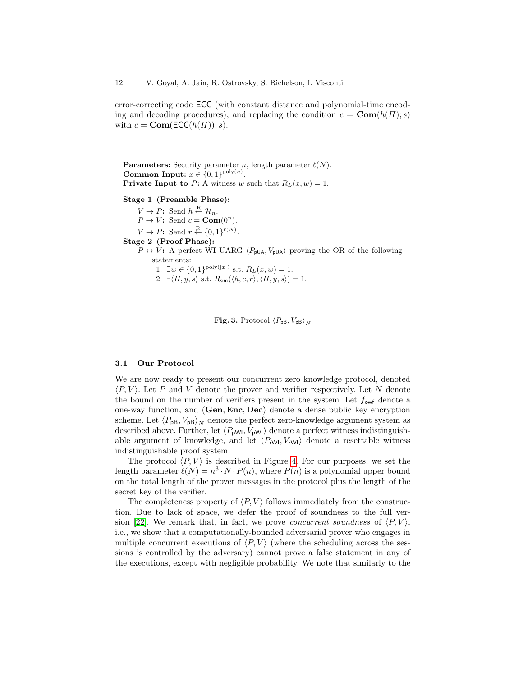error-correcting code ECC (with constant distance and polynomial-time encoding and decoding procedures), and replacing the condition  $c = \text{Com}(h(\Pi); s)$ with  $c = \text{Com}(\textsf{ECC}(h(\Pi)); s)$ .

**Parameters:** Security parameter n, length parameter  $\ell(N)$ . Common Input:  $x \in \{0,1\}^{\text{poly}(n)}$ . **Private Input to P:** A witness w such that  $R_L(x, w) = 1$ . Stage 1 (Preamble Phase):  $V \to P$ : Send  $h \stackrel{\text{R}}{\leftarrow} \mathcal{H}_n$ .  $P \to V$ : Send  $c = \text{Com}(0^n)$ .  $V \to P$ : Send  $r \stackrel{\text{R}}{\leftarrow} \{0,1\}^{\ell(N)}$ . Stage 2 (Proof Phase):  $P \leftrightarrow V$ : A perfect WI UARG  $\langle P_{\text{pUA}}, V_{\text{pUA}} \rangle$  proving the OR of the following statements: 1.  $\exists w \in \{0,1\}^{\text{poly}(|x|)} \text{ s.t. } R_L(x,w) = 1.$ 2.  $\exists \langle \Pi, y, s \rangle \text{ s.t. } R_{\text{sim}}(\langle h, c, r \rangle, \langle \Pi, y, s \rangle) = 1.$ 

<span id="page-11-0"></span>Fig. 3. Protocol  $\langle P_{\rm pB}, V_{\rm pB} \rangle_{N}$ 

#### 3.1 Our Protocol

We are now ready to present our concurrent zero knowledge protocol, denoted  $\langle P, V \rangle$ . Let P and V denote the prover and verifier respectively. Let N denote the bound on the number of verifiers present in the system. Let  $f_{\text{owf}}$  denote a one-way function, and (Gen, Enc, Dec) denote a dense public key encryption scheme. Let  $\left< P_{\text{pB}}, V_{\text{pB}} \right>_N$  denote the perfect zero-knowledge argument system as described above. Further, let  $\langle P_{\text{pWI}}, V_{\text{pWI}} \rangle$  denote a perfect witness indistinguishable argument of knowledge, and let  $\langle P_{\text{rWI}}, V_{\text{rWI}} \rangle$  denote a resettable witness indistinguishable proof system.

The protocol  $\langle P, V \rangle$  is described in Figure [4.](#page-12-0) For our purposes, we set the length parameter  $\ell(N) = n^3 \cdot N \cdot P(n)$ , where  $P(n)$  is a polynomial upper bound on the total length of the prover messages in the protocol plus the length of the secret key of the verifier.

The completeness property of  $\langle P, V \rangle$  follows immediately from the construction. Due to lack of space, we defer the proof of soundness to the full ver-sion [\[22\]](#page-19-14). We remark that, in fact, we prove *concurrent soundness* of  $\langle P, V \rangle$ , i.e., we show that a computationally-bounded adversarial prover who engages in multiple concurrent executions of  $\langle P, V \rangle$  (where the scheduling across the sessions is controlled by the adversary) cannot prove a false statement in any of the executions, except with negligible probability. We note that similarly to the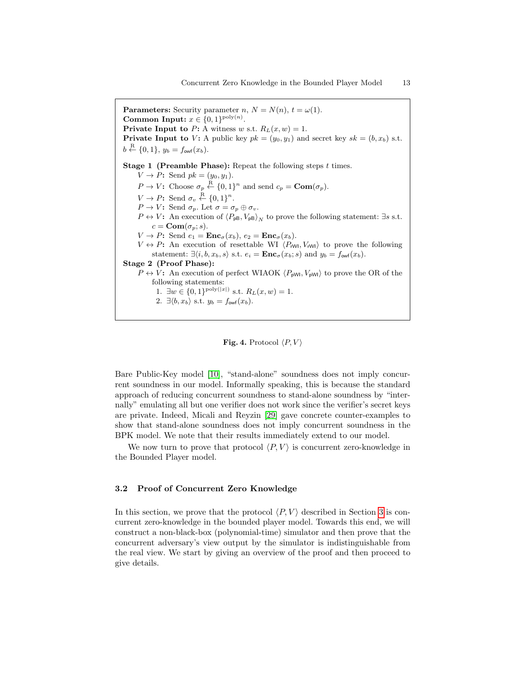**Parameters:** Security parameter n,  $N = N(n)$ ,  $t = \omega(1)$ . Common Input:  $x \in \{0,1\}^{\text{poly}(n)}$ . **Private Input to P:** A witness w s.t.  $R_L(x, w) = 1$ . **Private Input to** V: A public key  $pk = (y_0, y_1)$  and secret key  $sk = (b, x_b)$  s.t.  $b \stackrel{\text{R}}{\leftarrow} \{0,1\}, y_b = f_{\text{owf}}(x_b).$ **Stage 1 (Preamble Phase):** Repeat the following steps  $t$  times.  $V \rightarrow P$ : Send  $pk = (y_0, y_1)$ .  $P \to V$ : Choose  $\sigma_p \stackrel{\text{R}}{\leftarrow} \{0,1\}^n$  and send  $c_p = \text{Com}(\sigma_p)$ .  $V \to P$ : Send  $\sigma_v \stackrel{\text{R}}{\leftarrow} \{0,1\}^n$ .  $P \to V$ : Send  $\sigma_p$ . Let  $\sigma = \sigma_p \oplus \sigma_v$ .  $P \leftrightarrow V$ : An execution of  $\langle P_{\text{pB}}, V_{\text{pB}} \rangle_N$  to prove the following statement: ∃s s.t.  $c = \text{Com}(\sigma_p; s).$  $V \rightarrow P$ : Send  $e_1 = \mathbf{Enc}_{\sigma}(x_b)$ ,  $e_2 = \mathbf{Enc}_{\sigma}(x_b)$ .  $V \leftrightarrow P$ : An execution of resettable WI  $\langle P_{rW1}, V_{rW1} \rangle$  to prove the following statement:  $\exists \langle i, b, x_b, s \rangle$  s.t.  $e_i = \mathbf{Enc}_{\sigma}(x_b; s)$  and  $y_b = f_{\text{owf}}(x_b)$ . Stage 2 (Proof Phase):  $P \leftrightarrow V$ : An execution of perfect WIAOK  $\langle P_{\text{pWI}} | V_{\text{pWI}} \rangle$  to prove the OR of the following statements: 1.  $\exists w \in \{0,1\}^{\text{poly}(|x|)} \text{ s.t. } R_L(x,w) = 1.$ 2.  $\exists \langle b, x_b \rangle$  s.t.  $y_b = f_{\text{owf}}(x_b)$ .

<span id="page-12-0"></span>Fig. 4. Protocol  $\langle P, V \rangle$ 

Bare Public-Key model [\[10\]](#page-18-4), "stand-alone" soundness does not imply concurrent soundness in our model. Informally speaking, this is because the standard approach of reducing concurrent soundness to stand-alone soundness by "internally" emulating all but one verifier does not work since the verifier's secret keys are private. Indeed, Micali and Reyzin [\[29\]](#page-19-13) gave concrete counter-examples to show that stand-alone soundness does not imply concurrent soundness in the BPK model. We note that their results immediately extend to our model.

We now turn to prove that protocol  $\langle P, V \rangle$  is concurrent zero-knowledge in the Bounded Player model.

#### 3.2 Proof of Concurrent Zero Knowledge

In this section, we prove that the protocol  $\langle P, V \rangle$  described in Section [3](#page-10-1) is concurrent zero-knowledge in the bounded player model. Towards this end, we will construct a non-black-box (polynomial-time) simulator and then prove that the concurrent adversary's view output by the simulator is indistinguishable from the real view. We start by giving an overview of the proof and then proceed to give details.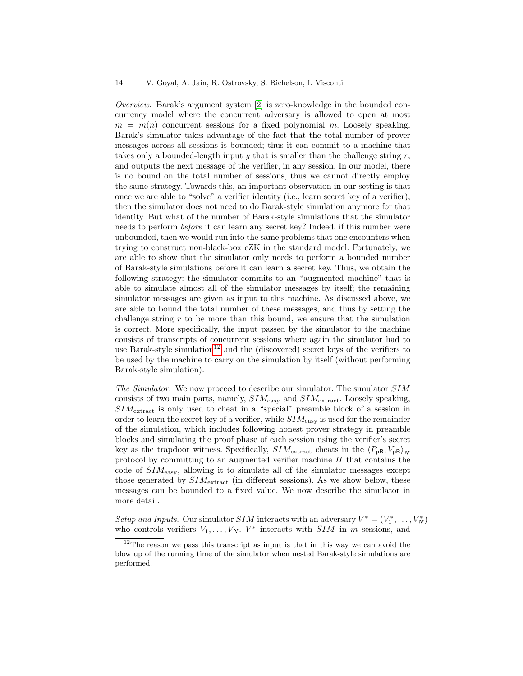Overview. Barak's argument system [\[2\]](#page-18-2) is zero-knowledge in the bounded concurrency model where the concurrent adversary is allowed to open at most  $m = m(n)$  concurrent sessions for a fixed polynomial m. Loosely speaking, Barak's simulator takes advantage of the fact that the total number of prover messages across all sessions is bounded; thus it can commit to a machine that takes only a bounded-length input y that is smaller than the challenge string  $r$ , and outputs the next message of the verifier, in any session. In our model, there is no bound on the total number of sessions, thus we cannot directly employ the same strategy. Towards this, an important observation in our setting is that once we are able to "solve" a verifier identity (i.e., learn secret key of a verifier), then the simulator does not need to do Barak-style simulation anymore for that identity. But what of the number of Barak-style simulations that the simulator needs to perform before it can learn any secret key? Indeed, if this number were unbounded, then we would run into the same problems that one encounters when trying to construct non-black-box cZK in the standard model. Fortunately, we are able to show that the simulator only needs to perform a bounded number of Barak-style simulations before it can learn a secret key. Thus, we obtain the following strategy: the simulator commits to an "augmented machine" that is able to simulate almost all of the simulator messages by itself; the remaining simulator messages are given as input to this machine. As discussed above, we are able to bound the total number of these messages, and thus by setting the challenge string  $r$  to be more than this bound, we ensure that the simulation is correct. More specifically, the input passed by the simulator to the machine consists of transcripts of concurrent sessions where again the simulator had to use Barak-style simulation<sup>[12](#page-13-0)</sup> and the (discovered) secret keys of the verifiers to be used by the machine to carry on the simulation by itself (without performing Barak-style simulation).

The Simulator. We now proceed to describe our simulator. The simulator SIM consists of two main parts, namely,  $SIM_{\text{easy}}$  and  $SIM_{\text{extract}}$ . Loosely speaking,  $SIM_{\mathrm{extract}}$  is only used to cheat in a "special" preamble block of a session in order to learn the secret key of a verifier, while  $SIM_{\text{easy}}$  is used for the remainder of the simulation, which includes following honest prover strategy in preamble blocks and simulating the proof phase of each session using the verifier's secret key as the trapdoor witness. Specifically,  $SIM_{\text{extract}}$  cheats in the  $\langle P_{\text{pB}}, V_{\text{pB}} \rangle_N$ protocol by committing to an augmented verifier machine  $\Pi$  that contains the code of  $SIM<sub>easy</sub>$ , allowing it to simulate all of the simulator messages except those generated by  $SIM_{\text{extract}}$  (in different sessions). As we show below, these messages can be bounded to a fixed value. We now describe the simulator in more detail.

Setup and Inputs. Our simulator SIM interacts with an adversary  $V^* = (V_1^*, \ldots, V_N^*)$ who controls verifiers  $V_1, \ldots, V_N$ .  $V^*$  interacts with  $SIM$  in m sessions, and

<span id="page-13-0"></span><sup>&</sup>lt;sup>12</sup>The reason we pass this transcript as input is that in this way we can avoid the blow up of the running time of the simulator when nested Barak-style simulations are performed.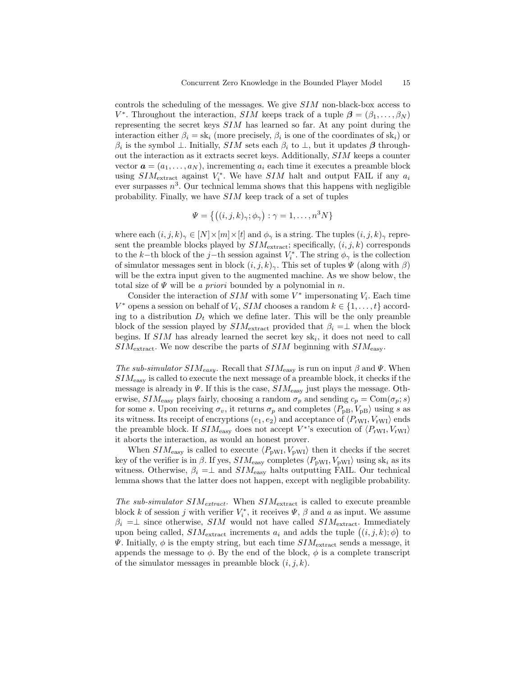controls the scheduling of the messages. We give  $SIM$  non-black-box access to V<sup>\*</sup>. Throughout the interaction, SIM keeps track of a tuple  $\boldsymbol{\beta} = (\beta_1, \dots, \beta_N)$ representing the secret keys SIM has learned so far. At any point during the interaction either  $\beta_i = sk_i$  (more precisely,  $\beta_i$  is one of the coordinates of  $sk_i$ ) or  $\beta_i$  is the symbol  $\perp$ . Initially,  $SIM$  sets each  $\beta_i$  to  $\perp$ , but it updates  $\beta$  throughout the interaction as it extracts secret keys. Additionally, SIM keeps a counter vector  $\mathbf{a} = (a_1, \ldots, a_N)$ , incrementing  $a_i$  each time it executes a preamble block using  $SIM_{\text{extract}}$  against  $V_i^*$ . We have  $SIM$  halt and output FAIL if any  $a_i$ ever surpasses  $n^3$ . Our technical lemma shows that this happens with negligible probability. Finally, we have SIM keep track of a set of tuples

$$
\Psi = \left\{ \left( (i, j, k)_{\gamma}; \phi_{\gamma} \right) : \gamma = 1, \dots, n^3 N \right\}
$$

where each  $(i, j, k)_{\gamma} \in [N] \times [m] \times [t]$  and  $\phi_{\gamma}$  is a string. The tuples  $(i, j, k)_{\gamma}$  represent the preamble blocks played by  $SIM_{\text{extract}}$ ; specifically,  $(i, j, k)$  corresponds to the k−th block of the j−th session against  $V_i^*$ . The string  $\phi_{\gamma}$  is the collection of simulator messages sent in block  $(i, j, k)_{\gamma}$ . This set of tuples  $\Psi$  (along with  $\beta$ ) will be the extra input given to the augmented machine. As we show below, the total size of  $\Psi$  will be a priori bounded by a polynomial in n.

Consider the interaction of  $SIM$  with some  $V^*$  impersonating  $V_i$ . Each time  $V^*$  opens a session on behalf of  $V_i$ ,  $SIM$  chooses a random  $k \in \{1, ..., t\}$  according to a distribution  $D_t$  which we define later. This will be the only preamble block of the session played by  $SIM_{\text{extract}}$  provided that  $\beta_i = \perp$  when the block begins. If  $SIM$  has already learned the secret key  $sk_i$ , it does not need to call  $SIM_{\text{extract}}$ . We now describe the parts of  $SIM$  beginning with  $SIM_{\text{easy}}$ .

The sub-simulator  $SIM_{easy}$ . Recall that  $SIM_{easy}$  is run on input  $\beta$  and  $\Psi$ . When  $SIM<sub>easy</sub>$  is called to execute the next message of a preamble block, it checks if the message is already in  $\Psi$ . If this is the case,  $SIM_{\text{easy}}$  just plays the message. Otherwise,  $SIM_{\text{easy}}$  plays fairly, choosing a random  $\sigma_p$  and sending  $c_p = \text{Com}(\sigma_p; s)$ for some s. Upon receiving  $\sigma_v$ , it returns  $\sigma_p$  and completes  $\langle P_{\rm pB}, V_{\rm pB} \rangle$  using s as its witness. Its receipt of encryptions  $(e_1, e_2)$  and acceptance of  $\langle P_{\text{rWI}}, V_{\text{rWI}} \rangle$  ends the preamble block. If  $SIM_{\text{easy}}$  does not accept  $V^*$ 's execution of  $\langle P_{\text{rWI}}, V_{\text{rWI}} \rangle$ it aborts the interaction, as would an honest prover.

When  $SIM_{\text{easy}}$  is called to execute  $\langle P_{\text{pWI}}, V_{\text{pWI}} \rangle$  then it checks if the secret key of the verifier is in  $\beta$ . If yes,  $SIM_{\text{easy}}$  completes  $\langle P_{\text{pWI}}, V_{\text{pWI}} \rangle$  using sk<sub>i</sub> as its witness. Otherwise,  $\beta_i = \perp$  and  $SIM_{\text{easy}}$  halts outputting FAIL. Our technical lemma shows that the latter does not happen, except with negligible probability.

The sub-simulator  $SIM_{extract}$ . When  $SIM_{extract}$  is called to execute preamble block k of session j with verifier  $V_i^*$ , it receives  $\Psi$ ,  $\beta$  and a as input. We assume  $\beta_i = \perp$  since otherwise, SIM would not have called SIM<sub>extract</sub>. Immediately upon being called,  $SIM_{\text{extract}}$  increments  $a_i$  and adds the tuple  $((i, j, k); \phi)$  to  $\Psi$ . Initially,  $\phi$  is the empty string, but each time  $SIM_{\text{extract}}$  sends a message, it appends the message to  $\phi$ . By the end of the block,  $\phi$  is a complete transcript of the simulator messages in preamble block  $(i, j, k)$ .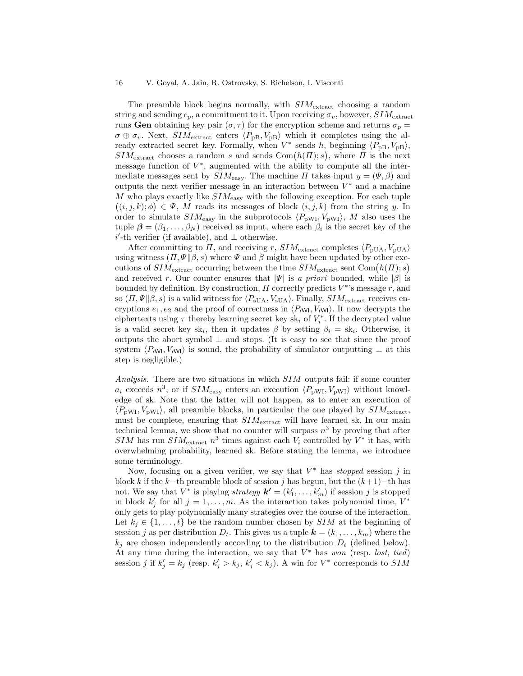The preamble block begins normally, with  $SIM_{\text{extract}}$  choosing a random string and sending  $c_p$ , a commitment to it. Upon receiving  $\sigma_v$ , however,  $SIM_{\text{extract}}$ runs Gen obtaining key pair  $(\sigma, \tau)$  for the encryption scheme and returns  $\sigma_p =$  $\sigma \oplus \sigma_v$ . Next,  $SIM_{\text{extract}}$  enters  $\langle P_{\text{pB}}, V_{\text{pB}} \rangle$  which it completes using the already extracted secret key. Formally, when  $V^*$  sends h, beginning  $\langle P_{\rm pB}, V_{\rm pB} \rangle$ ,  $SIM_{\text{extract}}$  chooses a random s and sends  $Com(h(\Pi); s)$ , where  $\Pi$  is the next message function of  $V^*$ , augmented with the ability to compute all the intermediate messages sent by  $SIM_{\text{easy}}$ . The machine  $\Pi$  takes input  $y = (\Psi, \beta)$  and outputs the next verifier message in an interaction between  $V^*$  and a machine  $M$  who plays exactly like  $SIM_{\text{easy}}$  with the following exception. For each tuple  $((i, j, k); \phi) \in \Psi$ , M reads its messages of block  $(i, j, k)$  from the string y. In order to simulate  $SIM_{\text{easy}}$  in the subprotocols  $\langle P_{\text{pWI}}, V_{\text{pWI}}\rangle$ , M also uses the tuple  $\boldsymbol{\beta} = (\beta_1, \dots, \beta_N)$  received as input, where each  $\beta_i$  is the secret key of the  $i'$ -th verifier (if available), and  $\perp$  otherwise.

After committing to  $\Pi$ , and receiving r,  $SIM_{\text{extract}}$  completes  $\langle P_{\text{pUA}}, V_{\text{pUA}} \rangle$ using witness  $(\Pi, \Psi \| \beta, s)$  where  $\Psi$  and  $\beta$  might have been updated by other executions of  $SIM_{\text{extract}}$  occurring between the time  $SIM_{\text{extract}}$  sent  $Com(h(\Pi); s)$ and received r. Our counter ensures that  $|\Psi|$  is a priori bounded, while  $|\beta|$  is bounded by definition. By construction,  $\Pi$  correctly predicts  $V^*$ 's message  $r$ , and so  $(\Pi, \Psi \| \beta, s)$  is a valid witness for  $\langle P_{\text{sUA}}, V_{\text{sUA}} \rangle$ . Finally,  $SIM_{\text{extract}}$  receives encryptions  $e_1, e_2$  and the proof of correctness in  $\langle P_{\text{rWI}}, V_{\text{rWI}}\rangle$ . It now decrypts the ciphertexts using  $\tau$  thereby learning secret key sk<sub>i</sub> of  $V_i^*$ . If the decrypted value is a valid secret key sk<sub>i</sub>, then it updates  $\beta$  by setting  $\beta_i = sk_i$ . Otherwise, it outputs the abort symbol  $\perp$  and stops. (It is easy to see that since the proof system  $\langle P_{\text{rWH}}$ ,  $V_{\text{rWH}}\rangle$  is sound, the probability of simulator outputting ⊥ at this step is negligible.)

Analysis. There are two situations in which SIM outputs fail: if some counter  $a_i$  exceeds  $n^3$ , or if  $SIM_{\text{easy}}$  enters an execution  $\langle P_{\text{pWI}} , V_{\text{pWI}} \rangle$  without knowledge of sk. Note that the latter will not happen, as to enter an execution of  $\langle P_{\text{pWI}}, V_{\text{pWI}} \rangle$ , all preamble blocks, in particular the one played by  $SIM_{\text{extract}},$ must be complete, ensuring that  $SIM_{\text{extract}}$  will have learned sk. In our main technical lemma, we show that no counter will surpass  $n^3$  by proving that after  $SIM$  has run  $SIM_{\text{extract}}$   $n^3$  times against each  $V_i$  controlled by  $V^*$  it has, with overwhelming probability, learned sk. Before stating the lemma, we introduce some terminology.

Now, focusing on a given verifier, we say that  $V^*$  has stopped session j in block k if the k−th preamble block of session j has begun, but the  $(k+1)-$ th has not. We say that  $V^*$  is playing *strategy*  $\mathbf{k'} = (k'_1, \ldots, k'_m)$  if session j is stopped in block  $k'_j$  for all  $j = 1, ..., m$ . As the interaction takes polynomial time,  $V^*$ only gets to play polynomially many strategies over the course of the interaction. Let  $k_j \in \{1, \ldots, t\}$  be the random number chosen by  $SIM$  at the beginning of session j as per distribution  $D_t$ . This gives us a tuple  $\mathbf{k} = (k_1, \ldots, k_m)$  where the  $k_j$  are chosen independently according to the distribution  $D_t$  (defined below). At any time during the interaction, we say that  $V^*$  has won (resp. lost, tied) session j if  $k'_j = k_j$  (resp.  $k'_j > k_j$ ,  $k'_j < k_j$ ). A win for  $V^*$  corresponds to  $SIM$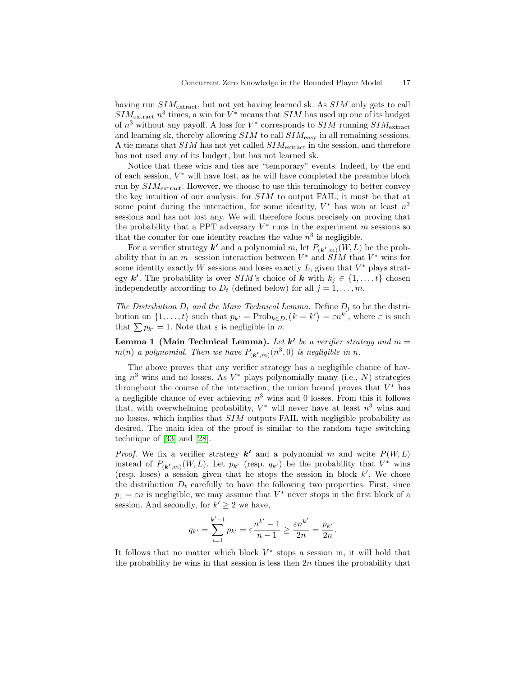having run  $SIM_{\text{extract}}$ , but not yet having learned sk. As  $SIM$  only gets to call  $SIM_{\text{extract}}$   $n^3$  times, a win for  $V^*$  means that  $SIM$  has used up one of its budget of  $n^3$  without any payoff. A loss for  $V^*$  corresponds to  $SIM$  running  $SIM_{\text{extract}}$ and learning sk, thereby allowing  $SIM$  to call  $SIM<sub>easy</sub>$  in all remaining sessions. A tie means that  $SIM$  has not yet called  $SIM_{\text{extract}}$  in the session, and therefore has not used any of its budget, but has not learned sk.

Notice that these wins and ties are "temporary" events. Indeed, by the end of each session,  $V^*$  will have lost, as he will have completed the preamble block run by  $SIM_{\text{extract}}$ . However, we choose to use this terminology to better convey the key intuition of our analysis: for SIM to output FAIL, it must be that at some point during the interaction, for some identity,  $V^*$  has won at least  $n^3$ sessions and has not lost any. We will therefore focus precisely on proving that the probability that a PPT adversary  $V^*$  runs in the experiment  $m$  sessions so that the counter for one identity reaches the value  $n^3$  is negligible.

For a verifier strategy  $k'$  and a polynomial m, let  $P_{(k',m)}(W,L)$  be the probability that in an m–session interaction between  $V^*$  and  $SIM$  that  $V^*$  wins for some identity exactly W sessions and loses exactly  $L$ , given that  $V^*$  plays strategy  $k'$ . The probability is over SIM's choice of k with  $k_j \in \{1, ..., t\}$  chosen independently according to  $D_t$  (defined below) for all  $j = 1, \ldots, m$ .

The Distribution  $D_t$  and the Main Technical Lemma. Define  $D_t$  to be the distribution on  $\{1, \ldots, t\}$  such that  $p_{k'} = \text{Prob}_{k \in D_t} (k = k') = \varepsilon n^{k'}$ , where  $\varepsilon$  is such that  $\sum p_{k'} = 1$ . Note that  $\varepsilon$  is negligible in n.

**Lemma 1** (Main Technical Lemma). Let  $k'$  be a verifier strategy and  $m =$  $m(n)$  a polynomial. Then we have  $P_{(\mathbf{k'},m)}(n^3,0)$  is negligible in n.

The above proves that any verifier strategy has a negligible chance of having  $n^3$  wins and no losses. As  $V^*$  plays polynomially many (i.e., N) strategies throughout the course of the interaction, the union bound proves that  $V^*$  has a negligible chance of ever achieving  $n^3$  wins and 0 losses. From this it follows that, with overwhelming probability,  $V^*$  will never have at least  $n^3$  wins and no losses, which implies that SIM outputs FAIL with negligible probability as desired. The main idea of the proof is similar to the random tape switching technique of [\[33\]](#page-19-3) and [\[28\]](#page-19-19).

*Proof.* We fix a verifier strategy  $k'$  and a polynomial m and write  $P(W, L)$ instead of  $P_{(\mathbf{k}',m)}(W,L)$ . Let  $p_{k'}$  (resp.  $q_{k'}$ ) be the probability that  $V^*$  wins (resp. loses) a session given that he stops the session in block  $k'$ . We chose the distribution  $D_t$  carefully to have the following two properties. First, since  $p_1 = \varepsilon n$  is negligible, we may assume that  $V^*$  never stops in the first block of a session. And secondly, for  $k' \geq 2$  we have,

$$
q_{k'} = \sum_{i=1}^{k'-1} p_{k'} = \varepsilon \frac{n^{k'} - 1}{n - 1} \ge \frac{\varepsilon n^{k'}}{2n} = \frac{p_{k'}}{2n}.
$$

It follows that no matter which block  $V^*$  stops a session in, it will hold that the probability he wins in that session is less then  $2n$  times the probability that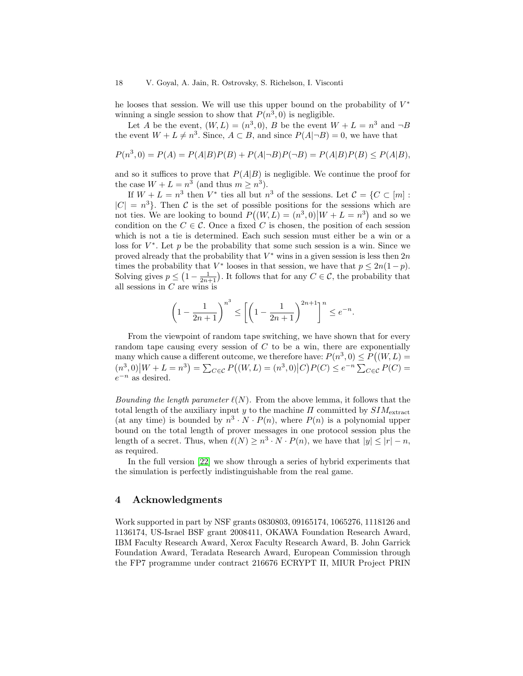he looses that session. We will use this upper bound on the probability of  $V^*$ winning a single session to show that  $P(n^3, 0)$  is negligible.

Let A be the event,  $(W, L) = (n^3, 0), B$  be the event  $W + L = n^3$  and  $\neg B$ the event  $W + L \neq n^3$ . Since,  $A \subset B$ , and since  $P(A|\neg B) = 0$ , we have that

$$
P(n^3, 0) = P(A) = P(A|B)P(B) + P(A|\neg B)P(\neg B) = P(A|B)P(B) \le P(A|B),
$$

and so it suffices to prove that  $P(A|B)$  is negligible. We continue the proof for the case  $W + L = n^3$  (and thus  $m \geq n^3$ ).

If  $W + L = n^3$  then  $V^*$  ties all but  $n^3$  of the sessions. Let  $C = \{C \subset [m] :$  $|C| = n<sup>3</sup>$ . Then C is the set of possible positions for the sessions which are not ties. We are looking to bound  $P((W, L) = (n^3, 0) | W + L = n^3)$  and so we condition on the  $C \in \mathcal{C}$ . Once a fixed C is chosen, the position of each session which is not a tie is determined. Each such session must either be a win or a loss for  $V^*$ . Let p be the probability that some such session is a win. Since we proved already that the probability that  $V^*$  wins in a given session is less then  $2n$ times the probability that  $V^*$  looses in that session, we have that  $p \leq 2n(1-p)$ . Solving gives  $p \leq (1 - \frac{1}{2n+1})$ . It follows that for any  $C \in \mathcal{C}$ , the probability that all sessions in  $C$  are wins is

$$
\left(1 - \frac{1}{2n+1}\right)^{n^3} \le \left[\left(1 - \frac{1}{2n+1}\right)^{2n+1}\right]^n \le e^{-n}.
$$

From the viewpoint of random tape switching, we have shown that for every random tape causing every session of  $C$  to be a win, there are exponentially many which cause a different outcome, we therefore have:  $P(n^3, 0) \le P((W, L) =$  $(n^3,0)[W+L=n^3] = \sum_{C \in \mathcal{C}} P((W,L) = (n^3,0)[C]P(C) \leq e^{-n} \sum_{C \in \mathcal{C}} P(C) =$  $e^{-n}$  as desired.

Bounding the length parameter  $\ell(N)$ . From the above lemma, it follows that the total length of the auxiliary input y to the machine  $\Pi$  committed by  $SIM_{\text{extract}}$ (at any time) is bounded by  $n^3 \cdot N \cdot P(n)$ , where  $P(n)$  is a polynomial upper bound on the total length of prover messages in one protocol session plus the length of a secret. Thus, when  $\ell(N) \geq n^3 \cdot N \cdot P(n)$ , we have that  $|y| \leq |r| - n$ , as required.

In the full version [\[22\]](#page-19-14) we show through a series of hybrid experiments that the simulation is perfectly indistinguishable from the real game.

### 4 Acknowledgments

Work supported in part by NSF grants 0830803, 09165174, 1065276, 1118126 and 1136174, US-Israel BSF grant 2008411, OKAWA Foundation Research Award, IBM Faculty Research Award, Xerox Faculty Research Award, B. John Garrick Foundation Award, Teradata Research Award, European Commission through the FP7 programme under contract 216676 ECRYPT II, MIUR Project PRIN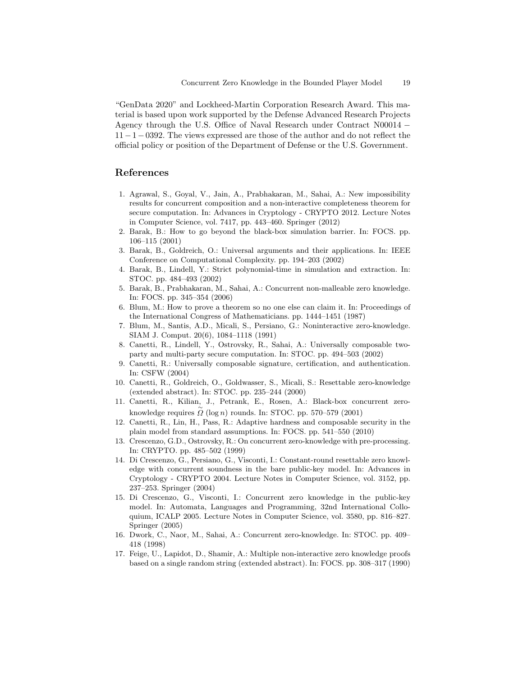"GenData 2020" and Lockheed-Martin Corporation Research Award. This material is based upon work supported by the Defense Advanced Research Projects Agency through the U.S. Office of Naval Research under Contract N00014 − 11−1−0392. The views expressed are those of the author and do not reflect the official policy or position of the Department of Defense or the U.S. Government.

# References

- <span id="page-18-9"></span>1. Agrawal, S., Goyal, V., Jain, A., Prabhakaran, M., Sahai, A.: New impossibility results for concurrent composition and a non-interactive completeness theorem for secure computation. In: Advances in Cryptology - CRYPTO 2012. Lecture Notes in Computer Science, vol. 7417, pp. 443–460. Springer (2012)
- <span id="page-18-2"></span>2. Barak, B.: How to go beyond the black-box simulation barrier. In: FOCS. pp. 106–115 (2001)
- <span id="page-18-16"></span>3. Barak, B., Goldreich, O.: Universal arguments and their applications. In: IEEE Conference on Computational Complexity. pp. 194–203 (2002)
- <span id="page-18-12"></span>4. Barak, B., Lindell, Y.: Strict polynomial-time in simulation and extraction. In: STOC. pp. 484–493 (2002)
- <span id="page-18-8"></span>5. Barak, B., Prabhakaran, M., Sahai, A.: Concurrent non-malleable zero knowledge. In: FOCS. pp. 345–354 (2006)
- <span id="page-18-15"></span>6. Blum, M.: How to prove a theorem so no one else can claim it. In: Proceedings of the International Congress of Mathematicians. pp. 1444–1451 (1987)
- <span id="page-18-10"></span>7. Blum, M., Santis, A.D., Micali, S., Persiano, G.: Noninteractive zero-knowledge. SIAM J. Comput. 20(6), 1084–1118 (1991)
- <span id="page-18-11"></span>8. Canetti, R., Lindell, Y., Ostrovsky, R., Sahai, A.: Universally composable twoparty and multi-party secure computation. In: STOC. pp. 494–503 (2002)
- <span id="page-18-14"></span>9. Canetti, R.: Universally composable signature, certification, and authentication. In: CSFW (2004)
- <span id="page-18-4"></span>10. Canetti, R., Goldreich, O., Goldwasser, S., Micali, S.: Resettable zero-knowledge (extended abstract). In: STOC. pp. 235–244 (2000)
- <span id="page-18-1"></span>11. Canetti, R., Kilian, J., Petrank, E., Rosen, A.: Black-box concurrent zeroknowledge requires  $\stackrel{\sim}{\Omega}$  (log *n*) rounds. In: STOC. pp. 570–579 (2001)
- <span id="page-18-7"></span>12. Canetti, R., Lin, H., Pass, R.: Adaptive hardness and composable security in the plain model from standard assumptions. In: FOCS. pp. 541–550 (2010)
- <span id="page-18-3"></span>13. Crescenzo, G.D., Ostrovsky, R.: On concurrent zero-knowledge with pre-processing. In: CRYPTO. pp. 485–502 (1999)
- <span id="page-18-5"></span>14. Di Crescenzo, G., Persiano, G., Visconti, I.: Constant-round resettable zero knowledge with concurrent soundness in the bare public-key model. In: Advances in Cryptology - CRYPTO 2004. Lecture Notes in Computer Science, vol. 3152, pp. 237–253. Springer (2004)
- <span id="page-18-6"></span>15. Di Crescenzo, G., Visconti, I.: Concurrent zero knowledge in the public-key model. In: Automata, Languages and Programming, 32nd International Colloquium, ICALP 2005. Lecture Notes in Computer Science, vol. 3580, pp. 816–827. Springer (2005)
- <span id="page-18-0"></span>16. Dwork, C., Naor, M., Sahai, A.: Concurrent zero-knowledge. In: STOC. pp. 409– 418 (1998)
- <span id="page-18-13"></span>17. Feige, U., Lapidot, D., Shamir, A.: Multiple non-interactive zero knowledge proofs based on a single random string (extended abstract). In: FOCS. pp. 308–317 (1990)